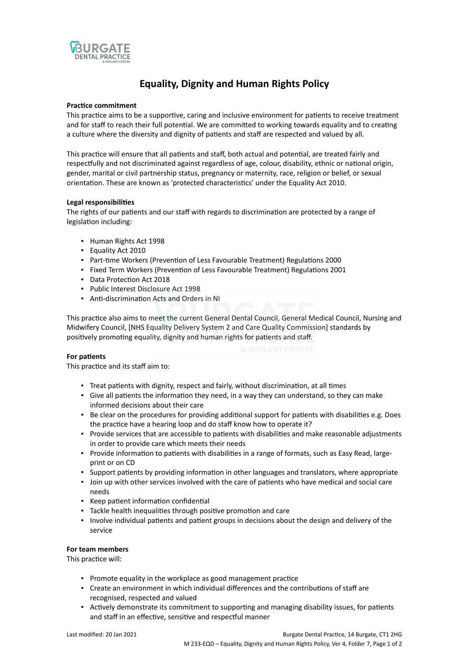

# **Equality, Dignity and Human Rights Policy**

## **Practice commitment**

This practice aims to be a supportive, caring and inclusive environment for patients to receive treatment and for staff to reach their full potential. We are committed to working towards equality and to creating a culture where the diversity and dignity of patients and staff are respected and valued by all.

This practice will ensure that all patients and staff, both actual and potential, are treated fairly and respectfully and not discriminated against regardless of age, colour, disability, ethnic or national origin, gender, marital or civil partnership status, pregnancy or maternity, race, religion or belief, or sexual orientation. These are known as 'protected characteristics' under the Equality Act 2010.

## **Legal responsibilities**

The rights of our patients and our staff with regards to discrimination are protected by a range of legislation including:

- Human Rights Act 1998
- Equality Act 2010
- Part-time Workers (Prevention of Less Favourable Treatment) Regulations 2000
- Fixed Term Workers (Prevention of Less Favourable Treatment) Regulations 2001
- Data Protection Act 2018
- Public Interest Disclosure Act 1998
- Anti-discrimination Acts and Orders in NI

This practice also aims to meet the current General Dental Council, General Medical Council, Nursing and Midwifery Council, [NHS Equality Delivery System 2 and Care Quality Commission] standards by positively promoting equality, dignity and human rights for patients and staff.

# **For patients**

This practice and its staff aim to:

- Treat patients with dignity, respect and fairly, without discrimination, at all times
- Give all patients the information they need, in a way they can understand, so they can make informed decisions about their care
- Be clear on the procedures for providing additional support for patients with disabilities e.g. Does the practice have a hearing loop and do staff know how to operate it?
- Provide services that are accessible to patients with disabilities and make reasonable adjustments in order to provide care which meets their needs
- Provide information to patients with disabilities in a range of formats, such as Easy Read, largeprint or on CD
- Support patients by providing information in other languages and translators, where appropriate
- Join up with other services involved with the care of patients who have medical and social care needs
- Keep patient information confidential
- Tackle health inequalities through positive promotion and care
- Involve individual patients and patient groups in decisions about the design and delivery of the service

# **For team members**

This practice will:

- Promote equality in the workplace as good management practice
- Create an environment in which individual differences and the contributions of staff are recognised, respected and valued
- Actively demonstrate its commitment to supporting and managing disability issues, for patients and staff in an effective, sensitive and respectful manner